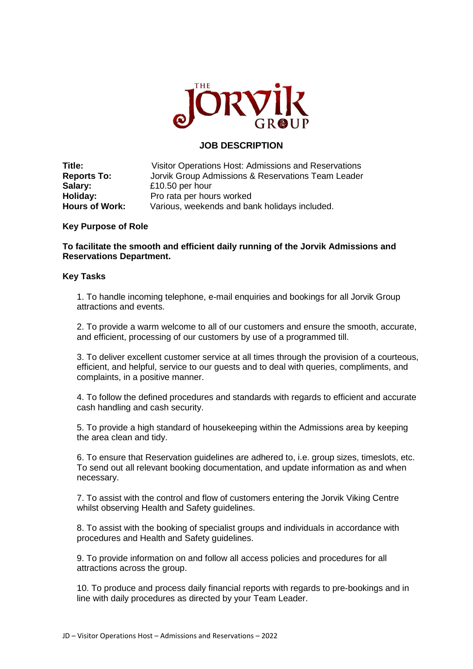

## **JOB DESCRIPTION**

| Title:                | Visitor Operations Host: Admissions and Reservations |
|-----------------------|------------------------------------------------------|
| <b>Reports To:</b>    | Jorvik Group Admissions & Reservations Team Leader   |
| Salary:               | £10.50 per hour                                      |
| Holiday:              | Pro rata per hours worked                            |
| <b>Hours of Work:</b> | Various, weekends and bank holidays included.        |

## **Key Purpose of Role**

**To facilitate the smooth and efficient daily running of the Jorvik Admissions and Reservations Department.** 

## **Key Tasks**

1. To handle incoming telephone, e-mail enquiries and bookings for all Jorvik Group attractions and events.

2. To provide a warm welcome to all of our customers and ensure the smooth, accurate, and efficient, processing of our customers by use of a programmed till.

3. To deliver excellent customer service at all times through the provision of a courteous, efficient, and helpful, service to our guests and to deal with queries, compliments, and complaints, in a positive manner.

4. To follow the defined procedures and standards with regards to efficient and accurate cash handling and cash security.

5. To provide a high standard of housekeeping within the Admissions area by keeping the area clean and tidy.

6. To ensure that Reservation guidelines are adhered to, i.e. group sizes, timeslots, etc. To send out all relevant booking documentation, and update information as and when necessary.

7. To assist with the control and flow of customers entering the Jorvik Viking Centre whilst observing Health and Safety guidelines.

8. To assist with the booking of specialist groups and individuals in accordance with procedures and Health and Safety guidelines.

9. To provide information on and follow all access policies and procedures for all attractions across the group.

10. To produce and process daily financial reports with regards to pre-bookings and in line with daily procedures as directed by your Team Leader.